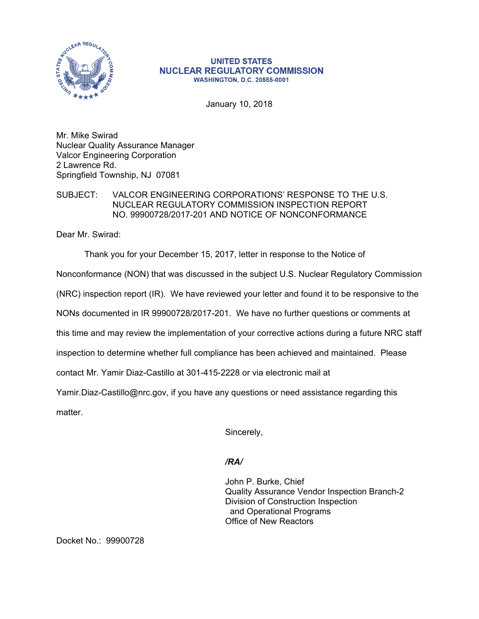

### **UNITED STATES NUCLEAR REGULATORY COMMISSION WASHINGTON, D.C. 20555-0001**

January 10, 2018

Mr. Mike Swirad Nuclear Quality Assurance Manager Valcor Engineering Corporation 2 Lawrence Rd. Springfield Township, NJ 07081

# SUBJECT: VALCOR ENGINEERING CORPORATIONS' RESPONSE TO THE U.S. NUCLEAR REGULATORY COMMISSION INSPECTION REPORT NO. 99900728/2017-201 AND NOTICE OF NONCONFORMANCE

Dear Mr. Swirad:

Thank you for your December 15, 2017, letter in response to the Notice of

Nonconformance (NON) that was discussed in the subject U.S. Nuclear Regulatory Commission

(NRC) inspection report (IR). We have reviewed your letter and found it to be responsive to the

NONs documented in IR 99900728/2017-201. We have no further questions or comments at

this time and may review the implementation of your corrective actions during a future NRC staff

inspection to determine whether full compliance has been achieved and maintained. Please

contact Mr. Yamir Diaz-Castillo at 301-415-2228 or via electronic mail at

Yamir.Diaz-Castillo@nrc.gov, if you have any questions or need assistance regarding this

matter.

Sincerely,

# */RA/*

John P. Burke, Chief Quality Assurance Vendor Inspection Branch-2 Division of Construction Inspection and Operational Programs Office of New Reactors

Docket No.: 99900728